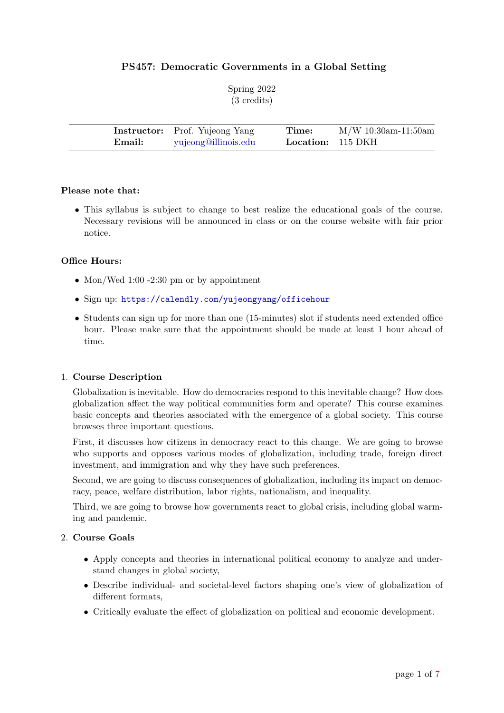## PS457: Democratic Governments in a Global Setting

|  | Spring 2022           |
|--|-----------------------|
|  | $(3 \text{ credits})$ |

|        | <b>Instructor:</b> Prof. Yujeong Yang | Time:                    | $M/W$ 10:30am-11:50am |  |
|--------|---------------------------------------|--------------------------|-----------------------|--|
| Email: | yujeong@illinois.edu                  | <b>Location:</b> 115 DKH |                       |  |

#### Please note that:

• This syllabus is subject to change to best realize the educational goals of the course. Necessary revisions will be announced in class or on the course website with fair prior notice.

#### Office Hours:

- Mon/Wed 1:00 -2:30 pm or by appointment
- Sign up: <https://calendly.com/yujeongyang/officehour>
- Students can sign up for more than one (15-minutes) slot if students need extended office hour. Please make sure that the appointment should be made at least 1 hour ahead of time.

#### 1. Course Description

Globalization is inevitable. How do democracies respond to this inevitable change? How does globalization affect the way political communities form and operate? This course examines basic concepts and theories associated with the emergence of a global society. This course browses three important questions.

First, it discusses how citizens in democracy react to this change. We are going to browse who supports and opposes various modes of globalization, including trade, foreign direct investment, and immigration and why they have such preferences.

Second, we are going to discuss consequences of globalization, including its impact on democracy, peace, welfare distribution, labor rights, nationalism, and inequality.

Third, we are going to browse how governments react to global crisis, including global warming and pandemic.

#### 2. Course Goals

- Apply concepts and theories in international political economy to analyze and understand changes in global society,
- Describe individual- and societal-level factors shaping one's view of globalization of different formats,
- Critically evaluate the effect of globalization on political and economic development.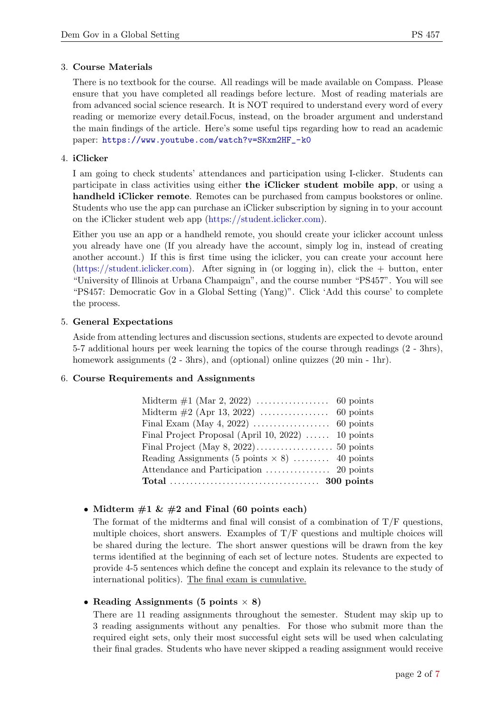#### 3. Course Materials

There is no textbook for the course. All readings will be made available on Compass. Please ensure that you have completed all readings before lecture. Most of reading materials are from advanced social science research. It is NOT required to understand every word of every reading or memorize every detail.Focus, instead, on the broader argument and understand the main findings of the article. Here's some useful tips regarding how to read an academic paper: [https://www.youtube.com/watch?v=SKxm2HF\\_-k0](https://www.youtube.com/watch?v=SKxm2HF_-k0)

#### 4. iClicker

I am going to check students' attendances and participation using I-clicker. Students can participate in class activities using either the iClicker student mobile app, or using a handheld iClicker remote. Remotes can be purchased from campus bookstores or online. Students who use the app can purchase an iClicker subscription by signing in to your account on the iClicker student web app [\(https://student.iclicker.com\)](https://student.iclicker.com).

Either you use an app or a handheld remote, you should create your iclicker account unless you already have one (If you already have the account, simply log in, instead of creating another account.) If this is first time using the iclicker, you can create your account here [\(https://student.iclicker.com\)](https://student.iclicker.com). After signing in (or logging in), click the + button, enter "University of Illinois at Urbana Champaign", and the course number "PS457". You will see "PS457: Democratic Gov in a Global Setting (Yang)". Click 'Add this course' to complete the process.

#### 5. General Expectations

Aside from attending lectures and discussion sections, students are expected to devote around 5-7 additional hours per week learning the topics of the course through readings (2 - 3hrs), homework assignments  $(2 - 3\text{hrs})$ , and (optional) online quizzes  $(20 \text{ min} - 1\text{hr})$ .

#### 6. Course Requirements and Assignments

| Final Project Proposal (April 10, 2022) $\ldots$ 10 points |  |
|------------------------------------------------------------|--|
|                                                            |  |
| Reading Assignments (5 points $\times$ 8)  40 points       |  |
|                                                            |  |
|                                                            |  |

## • Midterm  $#1 \& #2$  and Final (60 points each)

The format of the midterms and final will consist of a combination of  $T/F$  questions, multiple choices, short answers. Examples of  $T/F$  questions and multiple choices will be shared during the lecture. The short answer questions will be drawn from the key terms identified at the beginning of each set of lecture notes. Students are expected to provide 4-5 sentences which define the concept and explain its relevance to the study of international politics). The final exam is cumulative.

## • Reading Assignments (5 points  $\times$  8)

There are 11 reading assignments throughout the semester. Student may skip up to 3 reading assignments without any penalties. For those who submit more than the required eight sets, only their most successful eight sets will be used when calculating their final grades. Students who have never skipped a reading assignment would receive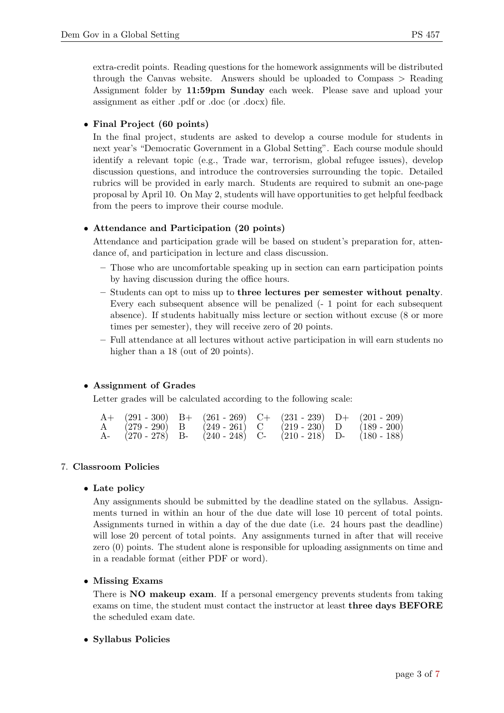extra-credit points. Reading questions for the homework assignments will be distributed through the Canvas website. Answers should be uploaded to Compass > Reading Assignment folder by 11:59pm Sunday each week. Please save and upload your assignment as either .pdf or .doc (or .docx) file.

• Final Project (60 points)

In the final project, students are asked to develop a course module for students in next year's "Democratic Government in a Global Setting". Each course module should identify a relevant topic (e.g., Trade war, terrorism, global refugee issues), develop discussion questions, and introduce the controversies surrounding the topic. Detailed rubrics will be provided in early march. Students are required to submit an one-page proposal by April 10. On May 2, students will have opportunities to get helpful feedback from the peers to improve their course module.

## • Attendance and Participation (20 points)

Attendance and participation grade will be based on student's preparation for, attendance of, and participation in lecture and class discussion.

- Those who are uncomfortable speaking up in section can earn participation points by having discussion during the office hours.
- Students can opt to miss up to three lectures per semester without penalty. Every each subsequent absence will be penalized (- 1 point for each subsequent absence). If students habitually miss lecture or section without excuse (8 or more times per semester), they will receive zero of 20 points.
- Full attendance at all lectures without active participation in will earn students no higher than a 18 (out of 20 points).

## • Assignment of Grades

Letter grades will be calculated according to the following scale:

|  |  |  | $A+$ (291 - 300) B+ (261 - 269) C+ (231 - 239) D+ (201 - 209) |
|--|--|--|---------------------------------------------------------------|
|  |  |  | A $(279-290)$ B $(249-261)$ C $(219-230)$ D $(189-200)$       |
|  |  |  | A- (270 - 278) B- (240 - 248) C- (210 - 218) D- (180 - 188)   |

## 7. Classroom Policies

## • Late policy

Any assignments should be submitted by the deadline stated on the syllabus. Assignments turned in within an hour of the due date will lose 10 percent of total points. Assignments turned in within a day of the due date (i.e. 24 hours past the deadline) will lose 20 percent of total points. Any assignments turned in after that will receive zero (0) points. The student alone is responsible for uploading assignments on time and in a readable format (either PDF or word).

## • Missing Exams

There is **NO** makeup exam. If a personal emergency prevents students from taking exams on time, the student must contact the instructor at least three days BEFORE the scheduled exam date.

## • Syllabus Policies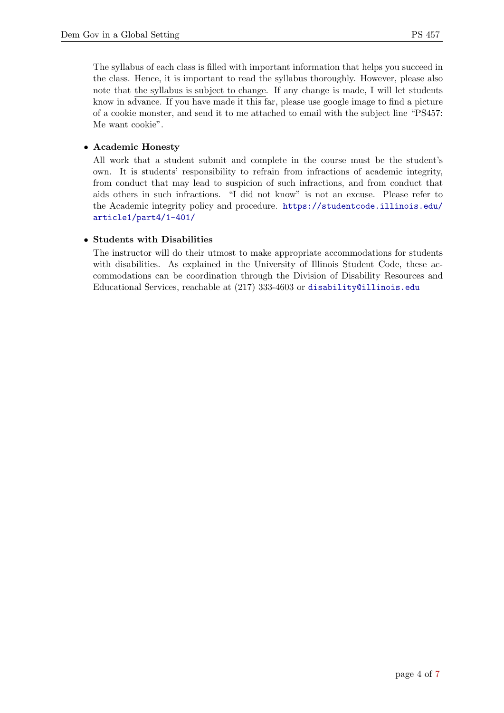The syllabus of each class is filled with important information that helps you succeed in the class. Hence, it is important to read the syllabus thoroughly. However, please also note that the syllabus is subject to change. If any change is made, I will let students know in advance. If you have made it this far, please use google image to find a picture of a cookie monster, and send it to me attached to email with the subject line "PS457: Me want cookie".

## • Academic Honesty

All work that a student submit and complete in the course must be the student's own. It is students' responsibility to refrain from infractions of academic integrity, from conduct that may lead to suspicion of such infractions, and from conduct that aids others in such infractions. "I did not know" is not an excuse. Please refer to the Academic integrity policy and procedure. [https://studentcode.illinois.edu/](https://studentcode.illinois.edu/article1/part4/1-401/) [article1/part4/1-401/](https://studentcode.illinois.edu/article1/part4/1-401/)

## • Students with Disabilities

The instructor will do their utmost to make appropriate accommodations for students with disabilities. As explained in the University of Illinois Student Code, these accommodations can be coordination through the Division of Disability Resources and Educational Services, reachable at (217) 333-4603 or <disability@illinois.edu>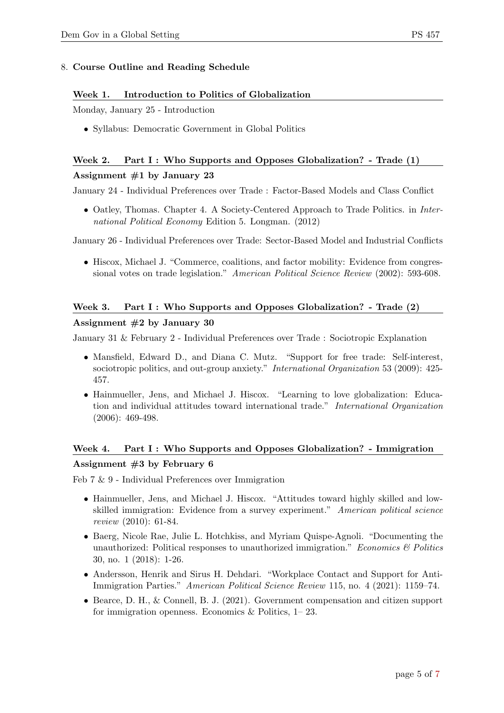#### 8. Course Outline and Reading Schedule

#### Week 1. Introduction to Politics of Globalization

Monday, January 25 - Introduction

• Syllabus: Democratic Government in Global Politics

# Week 2. Part I : Who Supports and Opposes Globalization? - Trade (1) Assignment  $#1$  by January 23

January 24 - Individual Preferences over Trade : Factor-Based Models and Class Conflict

• Oatley, Thomas. Chapter 4. A Society-Centered Approach to Trade Politics. in International Political Economy Edition 5. Longman. (2012)

January 26 - Individual Preferences over Trade: Sector-Based Model and Industrial Conflicts

• Hiscox, Michael J. "Commerce, coalitions, and factor mobility: Evidence from congressional votes on trade legislation." American Political Science Review (2002): 593-608.

## Week 3. Part I: Who Supports and Opposes Globalization? - Trade (2)

#### Assignment  $#2$  by January 30

January 31 & February 2 - Individual Preferences over Trade : Sociotropic Explanation

- Mansfield, Edward D., and Diana C. Mutz. "Support for free trade: Self-interest, sociotropic politics, and out-group anxiety." *International Organization* 53 (2009): 425-457.
- Hainmueller, Jens, and Michael J. Hiscox. "Learning to love globalization: Education and individual attitudes toward international trade." International Organization (2006): 469-498.

# Week 4. Part I: Who Supports and Opposes Globalization? - Immigration Assignment #3 by February 6

Feb 7 & 9 - Individual Preferences over Immigration

- Hainmueller, Jens, and Michael J. Hiscox. "Attitudes toward highly skilled and lowskilled immigration: Evidence from a survey experiment." American political science review (2010): 61-84.
- Baerg, Nicole Rae, Julie L. Hotchkiss, and Myriam Quispe-Agnoli. "Documenting the unauthorized: Political responses to unauthorized immigration." Economics  $\mathcal{B}$  Politics 30, no. 1 (2018): 1-26.
- Andersson, Henrik and Sirus H. Dehdari. "Workplace Contact and Support for Anti-Immigration Parties." American Political Science Review 115, no. 4 (2021): 1159–74.
- Bearce, D. H., & Connell, B. J. (2021). Government compensation and citizen support for immigration openness. Economics & Politics, 1– 23.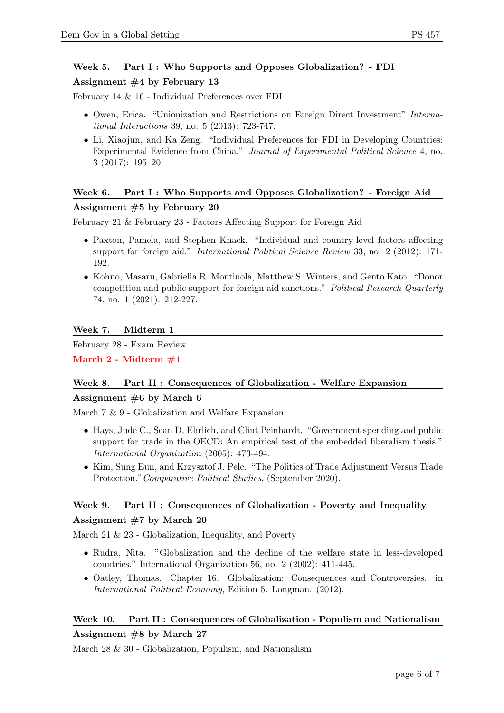## Week 5. Part I: Who Supports and Opposes Globalization? - FDI

#### Assignment #4 by February 13

February 14 & 16 - Individual Preferences over FDI

- Owen, Erica. "Unionization and Restrictions on Foreign Direct Investment" *Interna*tional Interactions 39, no. 5 (2013): 723-747.
- Li, Xiaojun, and Ka Zeng. "Individual Preferences for FDI in Developing Countries: Experimental Evidence from China." Journal of Experimental Political Science 4, no. 3 (2017): 195–20.

#### Week 6. Part I: Who Supports and Opposes Globalization? - Foreign Aid

#### Assignment #5 by February 20

February 21 & February 23 - Factors Affecting Support for Foreign Aid

- Paxton, Pamela, and Stephen Knack. "Individual and country-level factors affecting support for foreign aid." International Political Science Review 33, no. 2 (2012): 171- 192.
- Kohno, Masaru, Gabriella R. Montinola, Matthew S. Winters, and Gento Kato. "Donor competition and public support for foreign aid sanctions." Political Research Quarterly 74, no. 1 (2021): 212-227.

#### Week 7. Midterm 1

February 28 - Exam Review

March 2 - Midterm #1

## Week 8. Part II : Consequences of Globalization - Welfare Expansion

#### Assignment #6 by March 6

March 7 & 9 - Globalization and Welfare Expansion

- Hays, Jude C., Sean D. Ehrlich, and Clint Peinhardt. "Government spending and public support for trade in the OECD: An empirical test of the embedded liberalism thesis." International Organization (2005): 473-494.
- Kim, Sung Eun, and Krzysztof J. Pelc. "The Politics of Trade Adjustment Versus Trade Protection."Comparative Political Studies, (September 2020).

## Week 9. Part II : Consequences of Globalization - Poverty and Inequality

#### Assignment #7 by March 20

March 21 & 23 - Globalization, Inequality, and Poverty

- Rudra, Nita. "Globalization and the decline of the welfare state in less-developed countries." International Organization 56, no. 2 (2002): 411-445.
- Oatley, Thomas. Chapter 16. Globalization: Consequences and Controversies. in International Political Economy, Edition 5. Longman. (2012).

## Week 10. Part II : Consequences of Globalization - Populism and Nationalism Assignment #8 by March 27

# March 28 & 30 - Globalization, Populism, and Nationalism